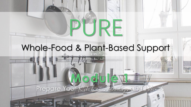### Whole-Food & Plant-Based Support

TRE

**Module 1** Prepare Your Kitchen, Body, and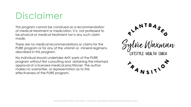# Disclaimer

This program cannot be construed as a recommendation of medical treatment or medication. It is not professed to be physical or medical treatment nor is any such claim made.

There are no medical recommendations or claims for the PURE program or for any of the vitamin or mineral regimens described in this program.

No individual should undertake ANY parts of the PURE program without first consulting and obtaining the informed approval of a licensed medical practitioner. The author makes no warranties or representation as to the effectiveness of the PURE program.

Wie Waxman LIFESTYLE HEALTH COACH

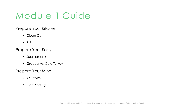# Module 1 Guide

#### Prepare Your Kitchen

- Clean Out
- Add

#### Prepare Your Body

- Supplements
- Gradual vs. Cold Turkey

#### Prepare Your Mind

- Your Why
- Goal Setting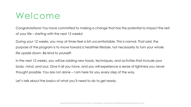### Welcome

Congratulations! You have committed to making a change that has the potential to impact the rest of your life – starting with the next 12 weeks!

During your 12 weeks, you may at times feel a bit uncomfortable. This is normal. That said, the purpose of the program is to move toward a healthier lifestyle, not necessarily to turn your whole life upside down. Be kind to yourself!

In the next 12 weeks, you will be adding new foods, techniques, and activities that include your body, mind, and soul. Give it all you have, and you will experience a sense of lightness you never thought possible. You are not alone – I am here for you every step of the way.

Let's talk about the basics of what you'll need to do to get ready.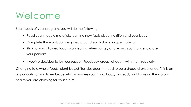### Welcome

Each week of your program, you will do the following:

- Read your module materials, learning new facts about nutrition and your body
- Complete the workbook designed around each day's unique materials
- Stick to your allowed foods plan, eating when hungry and letting your hunger dictate your portions
- If you've decided to join our support Facebook group, check in with them regularly.

Changing to a whole-foods, plant-based lifestyles doesn't need to be a dreadful experience. This is an opportunity for you to embrace what nourishes your mind, body, and soul; and focus on the vibrant health you are claiming for your future.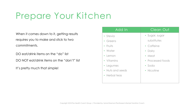When it comes down to it, getting results requires you to make and stick to two commitments.

DO eat/drink items on the "do" list

DO NOT eat/drink items on the "don't" list

It's pretty much that simple!

| Add In           | Clean Out         |
|------------------|-------------------|
| • Stevia         | • Sugar, sugar    |
| • Greens         | substitutes       |
| • Fruits         | • Caffeine        |
| • Water          | • Dairy           |
| • Lemon          | • Meat            |
| • Vitamins       | • Processed foods |
| • Legumes        | · Soda            |
| • Nuts and seeds | • Nicotine        |
| • Herbal teas    |                   |
|                  |                   |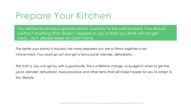You will be receiving a grocery list for a pantry to be well stocked. You should subtract anything that doesn't appeal to you or that you think will not get used….but, please keep an open mind.

The better your pantry is stocked, the more prepared you are to throw together a last minute meal. You could go out and get a fancy juicer, blender, dehydrator…

The truth is, you can get by with a good knife. This is a lifetime change, so budget in when to get the juicer, blender, dehydrator, food processor and other items that will make it easier for you to adapt to this lifestyle.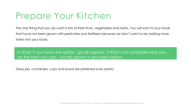The one thing that you do want is lots of fresh fruits, vegetables and herbs. You will want to buy foods that have not been grown with pesticides and fertilizers because we don't want to be adding more toxins into your body.

In short, if you have the option, go all-organic. If that is not available near you, do the best you can. Locally grown is your best option.

Glass jars, containers, cups and bowls are preferred over plastic.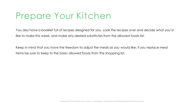You also have a booklet full of recipes designed for you. Look the recipes over and decide what you'd like to make this week, and make any desired substitutes from the allowed foods list.

Keep in mind that you have the freedom to adjust the meals as you would like. If you replace meal items be sure to keep to the basic allowed foods from the shopping list.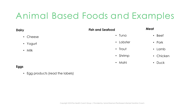# Animal Based Foods and Examples

| V        | <b>Fish and Seafood</b> | Meat         |
|----------|-------------------------|--------------|
| • Cheese | $\cdot$ Tuna            | $\cdot$ Beef |
| • Yogurt | • Lobster               | • Pork       |
| • Milk   | • Trout                 | • Lamb       |
|          | • Shrimp                | • Chicken    |
|          | • Mahi                  | • Duck       |
|          |                         |              |

#### **Eggs**

**Dairy**

• Egg products (read the labels)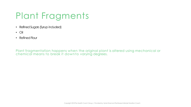# Plant Fragments

- Refined Sugars (Syrup included)
- Oil
- $\cdot$  Refined Flour

Plant fragmentation happens when the original plant is altered using mechanical or chemical means to break it downto varying degrees.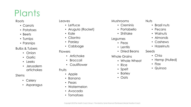# Plants

#### Roots

- Carrots
- Potatoes
- Beets
- Turnips
- Parsnips

#### Bulbs & Tubers

- Onion
- Garlic
- Leeks
- Jerusalem artichokes

#### Stems

- Celery
- Asparagus

#### Leaves

- Lettuce
- Arugula (Rocket)
- Kale
- Cilantro
- Parsley
- Cabbage

#### Flowers

- Artichoke
- Broccoli
- Cauliflower

#### **Fruits**

- Apple
- Banana
- Pears
- Watermelon
- Avocado
- Tomatoes

#### Mushrooms

- Creminis
- Portabello
- Shiitake

#### Legumes

- Peas
- Lentils
- Dried Beans

#### Whole Grains

- Whole Wheat
- Rice
- Spelt
- Barley
- Oats

#### Nuts

- Brazil nuts
- Pecans
- Walnuts
- Almonds
- Cashews
- Hazelnuts
- Seeds
	- Chia
	- Hemp (Hulled)
	- Flax
	- Quinoa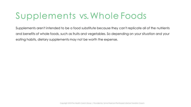# Supplements vs. Whole Foods

Supplements aren't intended to be a food substitute because they can't replicate all of the nutrients and benefits of whole foods, such as fruits and vegetables. So depending on your situation and your eating habits, dietary supplements may not be worth the expense.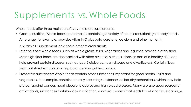### Supplements vs. Whole Foods

Whole foods offer three main benefits over dietary supplements:

• Greater nutrition: Whole foods are complex, containing a variety of the micronutrients your body needs. An orange, for example, provides Vitamin C plus beta carotene, calcium and other nutrients.

A Vitamin C supplement lacks these other micronutrients.

- Essential fiber: Whole foods, such as whole grains, fruits, vegetables and legumes, provide dietary fiber. Most high-fiber foods are also packed with other essential nutrients. Fiber, as part of a healthy diet, can help prevent certain diseases, such as type 2 diabetes, heart disease and diverticulosis. Certain fibers (resistant starches) can also help balance your gut microbiota.
- Protective substances: Whole foods contain other substances important for good health. Fruits and vegetables, for example, contain naturally occurring substances called phytochemicals, which may help protect against cancer, heart disease, diabetes and high blood pressure. Many are also good sources of antioxidants, substances that slow down oxidation, a natural process that leads to cell and tissue damage.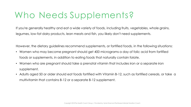### Who Needs Supplements?

If you're generally healthy and eat a wide variety of foods, including fruits, vegetables, whole grains, legumes, low-fat dairy products, lean meats and fish, you likely don't need supplements.

However, the dietary guidelines recommend supplements, or fortified foods, in the following situations:

- Women who may become pregnant should get 400 micrograms a day of folic acid from fortified foods or supplements, in addition to eating foods that naturally contain folate.
- Women who are pregnant should take a prenatal vitamin that includes iron or a separate iron supplement.
- Adults aged 50 or older should eat foods fortified with Vitamin B-12, such as fortified cereals, or take a multivitamin that contains B-12 or a separate B-12 supplement.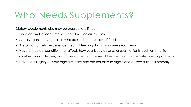### Who Needs Supplements?

Dietary supplements also may be appropriate if you:

- Don't eat well or consume less than 1,600 calories a day
- Are a vegan or a vegetarian who eats a limited variety of foods
- Are a woman who experiences heavy bleeding during your menstrual period
- Have a medical condition that affects how your body absorbs or uses nutrients, such as chronic diarrhea, food allergies, food intolerance or a disease of the liver, gallbladder, intestines or pancreas
- Have had surgery on your digestive tract and are not able to digest and absorb nutrients properly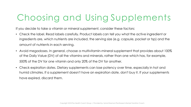# Choosing and Using Supplements

If you decide to take a vitamin or mineral supplement, consider these factors:

- Check the label. Read labels carefully. Product labels can tell you what the active ingredient or ingredients are, which nutrients are included, the serving size (e.g. capsule, packet or tsp) and the amount of nutrients in each serving.
- Avoid megadoses. In general, choose a multivitamin-mineral supplement that provides about 100% of the Daily Value (DV) of all the vitamins and minerals, rather than one which has, for example, 500% of the DV for one vitamin and only 20% of the DV for another.
- Check expiration dates. Dietary supplements can lose potency over time, especially in hot and humid climates. If a supplement doesn't have an expiration date, don't buy it. If your supplements have expired, discard them.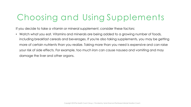### Choosing and Using Supplements

If you decide to take a vitamin or mineral supplement, consider these factors:

• Watch what you eat. Vitamins and minerals are being added to a growing number of foods, including breakfast cereals and beverages. If you're also taking supplements, you may be getting more of certain nutrients than you realize. Taking more than you need is expensive and can raise your risk of side effects. For example, too much iron can cause nausea and vomiting and may damage the liver and other organs.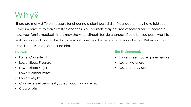### Why?

There are many different reasons for choosing a plant based diet. Your doctor may have told you it was imperative to make lifestyle changes. You, yourself, may be tired of feeling bad or scared of how your family medical history may show up without lifestyle changes. Could be you don't want to eat animals and it could be that you want to leave a better earth for your children. Below is a short list of benefits to a plant-based diet.

#### **Yourself:**

- Lower Cholesterol
- Lower Blood Pressure
- Lower Blood Sugar
- Lower Cancer Rates
- Lower Weight
- Can be less expensive if you eat local and in season
- Clearer skin

#### **The Environment:**

- Lower greenhouse gas emissions
- Lower water use
- Lower energy use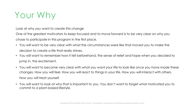### Your Why

Look at why you want to create this change

One of the greatest motivators to keep focused and to move forward is to be very clear on why you chose to participate in this program in the first place.

- You will want to be very clear with what the circumstances were like that moved you to make the decision to create a life that really shines.
- You will want to remember how it felt beforehand, the sense of relief and hope when you decided to jump in, the excitement.
- You will want to become very clear with what you want your life to look like once you have made these changes. How you will feel. How you will react to things in your life. How you will interact with others. How you will treat yourself.
- You will want to look at why that is important to you. You don't want to forget what motivated you to commit to a plant-based lifestyle.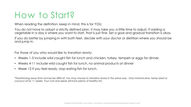### How to Start?

When reading the definition, keep in mind, this is for YOU.

You do not have to adopt a strictly defined plan. It may take you a little time to adjust. If adding a vegetable in a day is where you want to start, that is just fine. Set a goal and gradual transition is okay.

If you do better by jumping in with both feet, decide with your doctor or dietitian where you should be and jump in.

For those of you who would like to transition slowly:

- Weeks 1-3 Include wild caught fish for lunch and chicken, turkey, tempeh or eggs for dinner.
- Weeks 4-11 Include wild caught fish for lunch, no animal products at dinner
- Week 12 If you feel ready, stop eating fish for lunch.

*\*Transitioning away from oil may be difficult. You may choose to transition slowly in the same way. Only minimal olive, hemp seed or coconut oil for 11 weeks. Your nuts and seeds will have plenty of healthy fat.*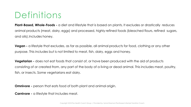### **Definitions**

**Plant-Based, Whole-Foods -** a diet and lifestyle that is based on plants. It excludes or drastically reduces animal products (meat, dairy, eggs) and processed, highly refined foods (bleached flours, refined sugars, and oils).Includes honey.

**Vegan -** a lifestyle that excludes, as far as possible, all animal products for food, clothing or any other purpose. This includes but is not limited to meat, fish, dairy, eggs and honey.

**Vegetarian -** does not eat foods that consist of, or have been produced with the aid of products consisting of or created from, any part of the body of a living or dead animal. This includes meat, poultry, fish, or insects. Some vegetarians eat dairy.

**Omnivore -** person that eats food of both plant and animal origin.

**Carnivore -** a lifestyle that includes meat.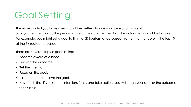The more control you have over a goal the better chance you have of attaining it. So, if you set the goal by the performance of the action rather than the outcome, you will be happier. For example, you might set a goal to finish a 5K (performance-based), rather than to score in the top 10 at the 5k (outcome-based).

There are several steps in goal setting:

- Become aware of a need.
- Envision the outcome.
- Set the intention.
- Focus on the goal.
- Take action to achieve the goal.
- Have faith that if you set the intention, focus and take action, you will reach your goal or the outcome that is best.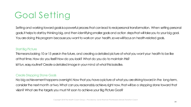Setting and working toward goals is a powerful process that can lead to real personal transformation. When setting personal goals, it helps to start by thinking big, and then identifying smaller goals and action steps that will take you to your big goal. You are doing this program because you want to work on your health, so we will focus on health-related goals.

#### Start Big Picture

This means looking 10 or 15 years in the future, and creating a detailed picture of what you want your health to be like at that time. How do you feel? How do you look? What do you do to maintain this?

Is it fun, easy, routine? Create a detailed image in your mind of what this looks like.

#### Create Stepping Stone Goals

No big achievement happens overnight. Now that you have a picture of what you are striving toward in the long-term, consider the next month or two. What can you reasonably achieve, right now, that will be a stepping stone toward that vision? What are the targets you must hit soon to achieve your Big Picture Goal?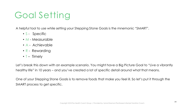A helpful tool to use while setting your Stepping Stone Goals is the mnemonic "SMART".

- S Specific
- M Measurable
- A Achievable
- R Rewarding
- $\cdot$  T Timely

Let's break this down with an example scenario. You might have a Big Picture Goal to "Live a vibrantly healthy life" in 10 years – and you've created a lot of specific detail around what that means.

One of your Stepping Stone Goals is to remove foods that make you feel ill. So let's put it through the SMART process to get specific.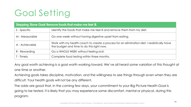| Stepping Stone Goal: Remove foods that make me feel ill. |                                                                                                                                          |  |  |  |
|----------------------------------------------------------|------------------------------------------------------------------------------------------------------------------------------------------|--|--|--|
| S - Specific                                             | Identify the foods that make me feel ill and remove them from my diet.                                                                   |  |  |  |
| M - Measurable                                           | Go one week without having digestive upset from eating.                                                                                  |  |  |  |
| A - Achievable                                           | Work with my health coach to create a process for an elimination diet. I realistically have<br>the budget and time to do this right now. |  |  |  |
| R - Rewarding                                            | Go a WHOLE WEEK without feeling sick!                                                                                                    |  |  |  |
| T - Timely                                               | Complete food testing within three months.                                                                                               |  |  |  |

Any goal worth achieving is a goal worth working toward. We've all heard some variation of this thought at one time or another.

Achieving goals takes discipline, motivation, and the willingness to see things through even when they are difficult. Your health goals will not be any different.

The odds are good that, in the coming few days, your commitment to your Big Picture Health Goal is going to be tested. It is likely that you may experience some discomfort, mental or physical, during this program.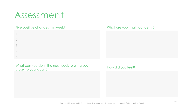### Assessment

2.

3.

4.

5.

#### Five positive changes this week? 1.

#### What are your main concerns?

What can you do in the next week to bring you closer to your goals?

#### How did you feel?